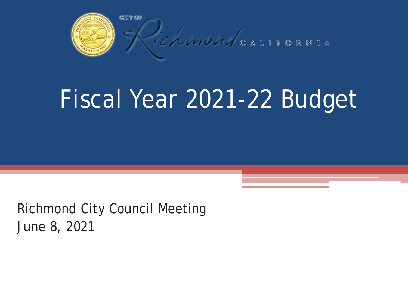

# Fiscal Year 2021-22 Budget

Richmond City Council Meeting June 8, 2021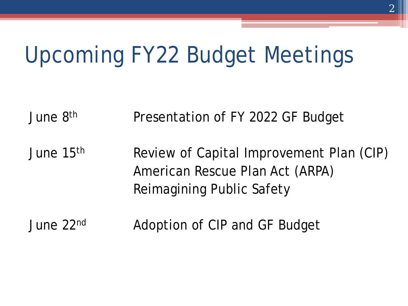# Upcoming FY22 Budget Meetings

June 8th Presentation of FY 2022 GF Budget

June 15<sup>th</sup> Review of Capital Improvement Plan (CIP) American Rescue Plan Act (ARPA) Reimagining Public Safety

June 22<sup>nd</sup> Adoption of CIP and GF Budget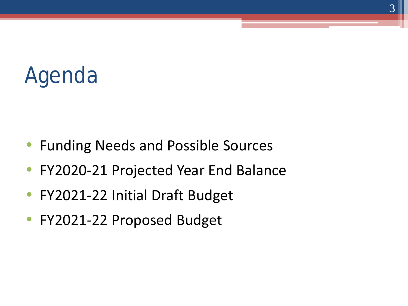# Agenda

- Funding Needs and Possible Sources
- FY2020-21 Projected Year End Balance
- FY2021-22 Initial Draft Budget
- FY2021-22 Proposed Budget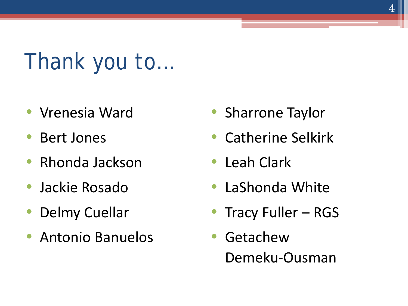Thank you to…

- Vrenesia Ward
- Bert Jones
- Rhonda Jackson
- Jackie Rosado
- Delmy Cuellar
- Antonio Banuelos
- Sharrone Taylor
- Catherine Selkirk
- Leah Clark
- LaShonda White
- Tracy Fuller RGS
- Getachew Demeku-Ousman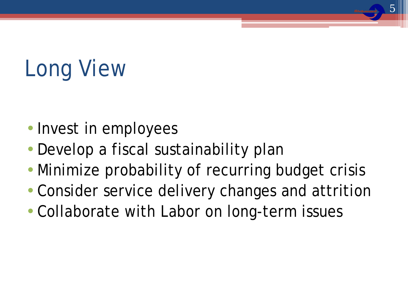# Long View

- Invest in employees
- Develop a fiscal sustainability plan
- Minimize probability of recurring budget crisis

5

- Consider service delivery changes and attrition
- Collaborate with Labor on long-term issues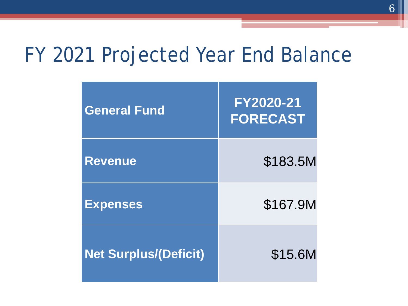#### FY 2021 Projected Year End Balance

| <b>General Fund</b>          | FY2020-21<br><b>FORECAST</b> |
|------------------------------|------------------------------|
| <b>Revenue</b>               | \$183.5M                     |
| <b>Expenses</b>              | \$167.9M                     |
| <b>Net Surplus/(Deficit)</b> | \$15.6M                      |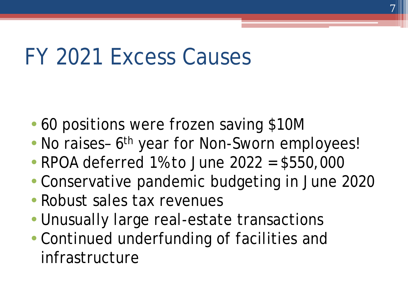## FY 2021 Excess Causes

- 60 positions were frozen saving \$10M
- No raises- 6<sup>th</sup> year for Non-Sworn employees!
- RPOA deferred 1% to June 2022 = \$550,000
- Conservative pandemic budgeting in June 2020
- Robust sales tax revenues
- Unusually large real-estate transactions
- Continued underfunding of facilities and infrastructure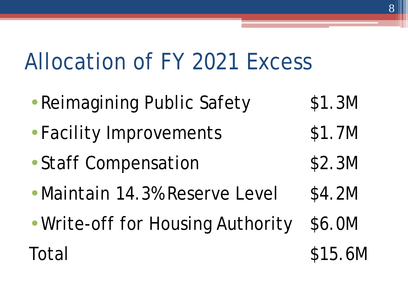# Allocation of FY 2021 Excess

- Reimagining Public Safety \$1.3M
- Facility Improvements \$1.7M
- Staff Compensation \$2.3M
- Maintain 14.3% Reserve Level \$4.2M
- Write-off for Housing Authority \$6.0M Total \$15.6M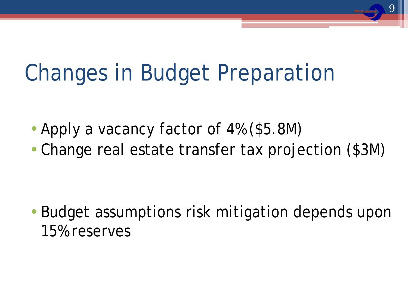# Changes in Budget Preparation

- Apply a vacancy factor of 4% (\$5.8M)
- Change real estate transfer tax projection (\$3M)

• Budget assumptions risk mitigation depends upon 15% reserves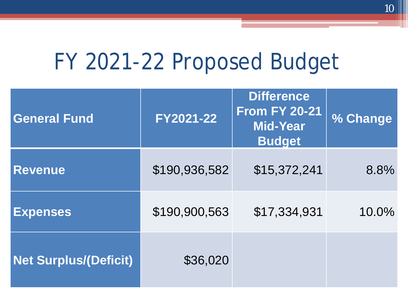## FY 2021-22 Proposed Budget

| <b>General Fund</b>          | FY2021-22     | <b>Difference</b><br><b>From FY 20-21</b><br><b>Mid-Year</b><br><b>Budget</b> | % Change |
|------------------------------|---------------|-------------------------------------------------------------------------------|----------|
| <b>Revenue</b>               | \$190,936,582 | \$15,372,241                                                                  | 8.8%     |
| <b>Expenses</b>              | \$190,900,563 | \$17,334,931                                                                  | 10.0%    |
| <b>Net Surplus/(Deficit)</b> | \$36,020      |                                                                               |          |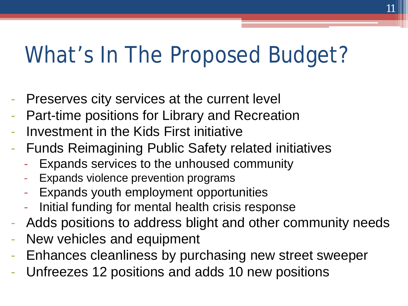## What's In The Proposed Budget?

- Preserves city services at the current level
- Part-time positions for Library and Recreation
- Investment in the Kids First initiative
- Funds Reimagining Public Safety related initiatives
	- Expands services to the unhoused community
	- Expands violence prevention programs
	- Expands youth employment opportunities
	- Initial funding for mental health crisis response
- Adds positions to address blight and other community needs
- New vehicles and equipment
- Enhances cleanliness by purchasing new street sweeper
- Unfreezes 12 positions and adds 10 new positions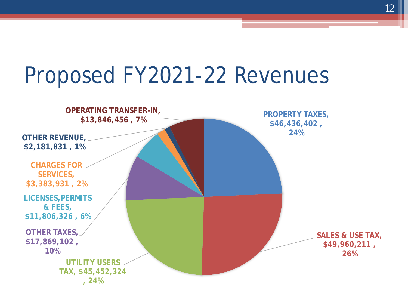# Proposed FY2021-22 Revenues



12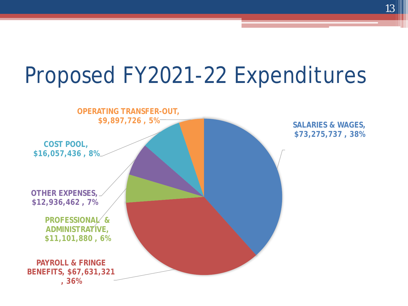# Proposed FY2021-22 Expenditures



**SALARIES & WAGES, \$73,275,737 , 38%**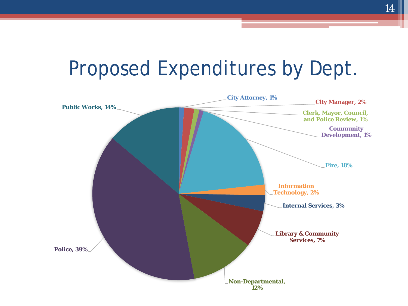#### Proposed Expenditures by Dept.

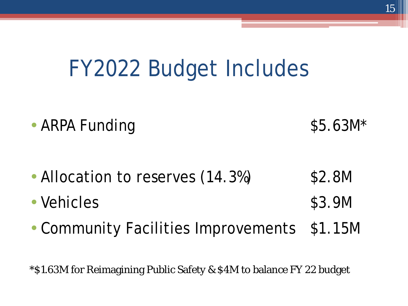## FY2022 Budget Includes

- ARPA Funding \$5.63M\*
- Allocation to reserves (14.3%) \$2.8M
- Vehicles \$3.9M
- Community Facilities Improvements \$1.15M

\*\$1.63M for Reimagining Public Safety & \$4M to balance FY 22 budget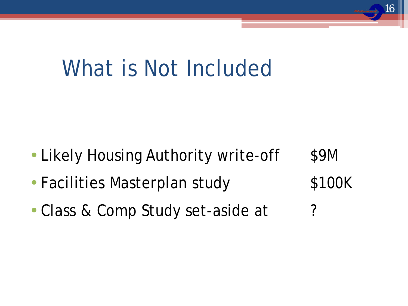## What is Not Included

• Likely Housing Authority write-off \$9M

16

- Facilities Masterplan study \$100K
- Class & Comp Study set-aside at ?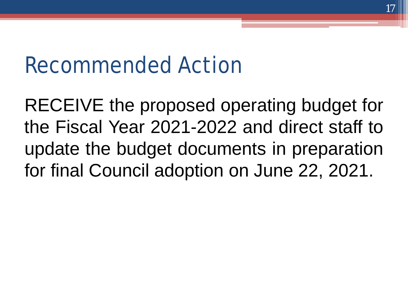#### Recommended Action

RECEIVE the proposed operating budget for the Fiscal Year 2021-2022 and direct staff to update the budget documents in preparation for final Council adoption on June 22, 2021.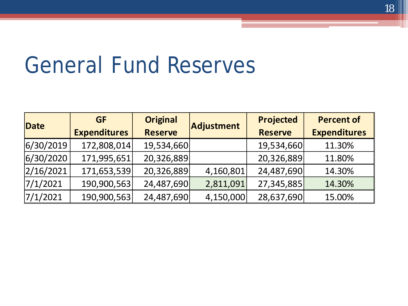#### General Fund Reserves

| Date      | <b>GF</b>           | <b>Original</b> | Adjustment | <b>Projected</b> | <b>Percent of</b>   |
|-----------|---------------------|-----------------|------------|------------------|---------------------|
|           | <b>Expenditures</b> | <b>Reserve</b>  |            | <b>Reserve</b>   | <b>Expenditures</b> |
| 6/30/2019 | 172,808,014         | 19,534,660      |            | 19,534,660       | 11.30%              |
| 6/30/2020 | 171,995,651         | 20,326,889      |            | 20,326,889       | 11.80%              |
| 2/16/2021 | 171,653,539         | 20,326,889      | 4,160,801  | 24,487,690       | 14.30%              |
| 7/1/2021  | 190,900,563         | 24,487,690      | 2,811,091  | 27,345,885       | 14.30%              |
| 7/1/2021  | 190,900,563         | 24,487,690      | 4,150,000  | 28,637,690       | 15.00%              |